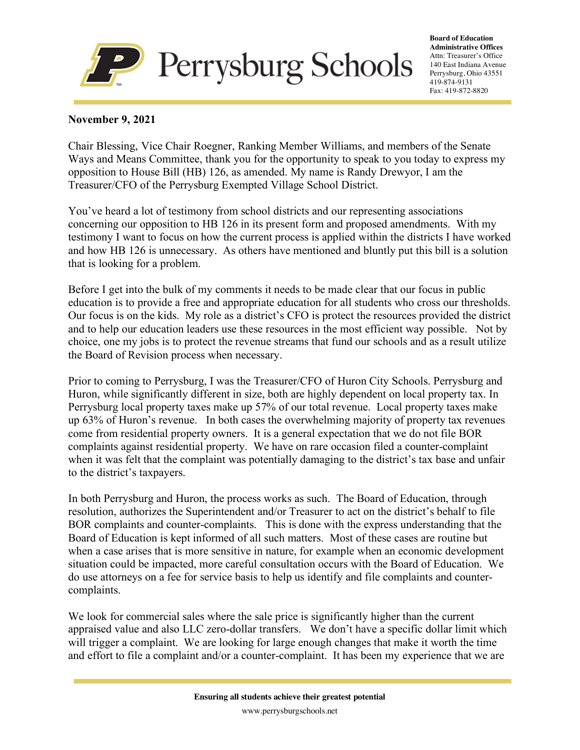

**Board of Education Administrative Offices** Attn: Treasurer's Office 140 East Indiana Avenue Perrysburg, Ohio 43551 419-874-9131 Fax: 419-872-8820

## **November 9, 2021**

Chair Blessing, Vice Chair Roegner, Ranking Member Williams, and members of the Senate Ways and Means Committee, thank you for the opportunity to speak to you today to express my opposition to House Bill (HB) 126, as amended. My name is Randy Drewyor, I am the Treasurer/CFO of the Perrysburg Exempted Village School District.

You've heard a lot of testimony from school districts and our representing associations concerning our opposition to HB 126 in its present form and proposed amendments. With my testimony I want to focus on how the current process is applied within the districts I have worked and how HB 126 is unnecessary. As others have mentioned and bluntly put this bill is a solution that is looking for a problem.

Before I get into the bulk of my comments it needs to be made clear that our focus in public education is to provide a free and appropriate education for all students who cross our thresholds. Our focus is on the kids. My role as a district's CFO is protect the resources provided the district and to help our education leaders use these resources in the most efficient way possible. Not by choice, one my jobs is to protect the revenue streams that fund our schools and as a result utilize the Board of Revision process when necessary.

Prior to coming to Perrysburg, I was the Treasurer/CFO of Huron City Schools. Perrysburg and Huron, while significantly different in size, both are highly dependent on local property tax. In Perrysburg local property taxes make up 57% of our total revenue. Local property taxes make up 63% of Huron's revenue. In both cases the overwhelming majority of property tax revenues come from residential property owners. It is a general expectation that we do not file BOR complaints against residential property. We have on rare occasion filed a counter-complaint when it was felt that the complaint was potentially damaging to the district's tax base and unfair to the district's taxpayers.

In both Perrysburg and Huron, the process works as such. The Board of Education, through resolution, authorizes the Superintendent and/or Treasurer to act on the district's behalf to file BOR complaints and counter-complaints. This is done with the express understanding that the Board of Education is kept informed of all such matters. Most of these cases are routine but when a case arises that is more sensitive in nature, for example when an economic development situation could be impacted, more careful consultation occurs with the Board of Education. We do use attorneys on a fee for service basis to help us identify and file complaints and countercomplaints.

We look for commercial sales where the sale price is significantly higher than the current appraised value and also LLC zero-dollar transfers. We don't have a specific dollar limit which will trigger a complaint. We are looking for large enough changes that make it worth the time and effort to file a complaint and/or a counter-complaint. It has been my experience that we are